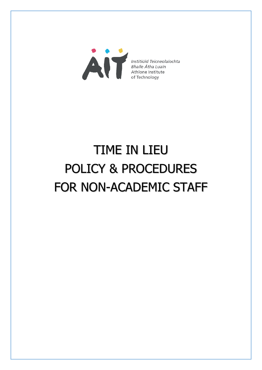

# TIME IN LIEU POLICY & PROCEDURES FOR NON-ACADEMIC STAFF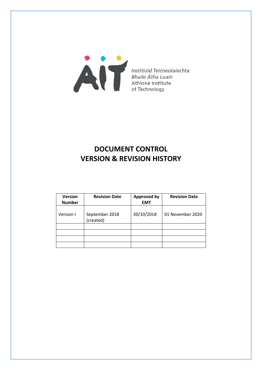

# **DOCUMENT CONTROL VERSION & REVISION HISTORY**

| <b>Version</b><br><b>Number</b> | <b>Revision Date</b>        | <b>Approved by</b><br><b>EMT</b> | <b>Revision Date</b> |
|---------------------------------|-----------------------------|----------------------------------|----------------------|
| Version I                       | September 2018<br>(created) | 30/10/2018                       | 01 November 2020     |
|                                 |                             |                                  |                      |
|                                 |                             |                                  |                      |
|                                 |                             |                                  |                      |
|                                 |                             |                                  |                      |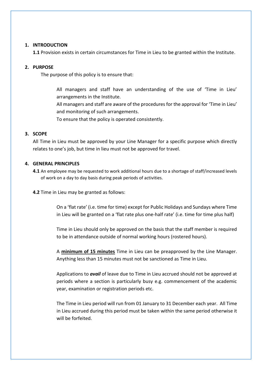#### **1. INTRODUCTION**

**1.1** Provision exists in certain circumstances for Time in Lieu to be granted within the Institute.

#### **2. PURPOSE**

The purpose of this policy is to ensure that:

All managers and staff have an understanding of the use of 'Time in Lieu' arrangements in the Institute.

All managers and staff are aware of the procedures for the approval for 'Time in Lieu' and monitoring of such arrangements.

To ensure that the policy is operated consistently.

## **3. SCOPE**

All Time in Lieu must be approved by your Line Manager for a specific purpose which directly relates to one's job, but time in lieu must not be approved for travel.

## **4. GENERAL PRINCIPLES**

**4.1** An employee may be requested to work additional hours due to a shortage of staff/increased levels of work on a day to day basis during peak periods of activities.

**4.2** Time in Lieu may be granted as follows:

On a 'flat rate' (i.e. time for time) except for Public Holidays and Sundays where Time in Lieu will be granted on a 'flat rate plus one-half rate' (i.e. time for time plus half)

Time in Lieu should only be approved on the basis that the staff member is required to be in attendance outside of normal working hours (rostered hours).

A **minimum of 15 minutes** Time in Lieu can be preapproved by the Line Manager. Anything less than 15 minutes must not be sanctioned as Time in Lieu.

Applications to *avail* of leave due to Time in Lieu accrued should not be approved at periods where a section is particularly busy e.g. commencement of the academic year, examination or registration periods etc.

The Time in Lieu period will run from 01 January to 31 December each year. All Time in Lieu accrued during this period must be taken within the same period otherwise it will be forfeited.